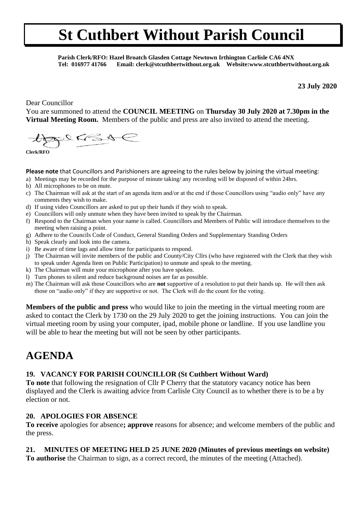## **St Cuthbert Without Parish Council**

 **Parish Clerk/RFO: Hazel Broatch Glasden Cottage Newtown Irthington Carlisle CA6 4NX Tel: 016977 41766 Email: clerk@stcuthbertwithout.org.uk Website:www.stcuthbertwithout.org.uk**

**23 July 2020**

Dear Councillor

You are summoned to attend the **COUNCIL MEETING** on **Thursday 30 July 2020 at 7.30pm in the Virtual Meeting Room.** Members of the public and press are also invited to attend the meeting.

 $2265$ 

**Clerk/RFO**

**Please note** that Councillors and Parishioners are agreeing to the rules below by joining the virtual meeting:

- a) Meetings may be recorded for the purpose of minute taking/ any recording will be disposed of within 24hrs.
- b) All microphones to be on mute.
- c) The Chairman will ask at the start of an agenda item and/or at the end if those Councillors using "audio only" have any comments they wish to make.
- d) If using video Councillors are asked to put up their hands if they wish to speak.
- e) Councillors will only unmute when they have been invited to speak by the Chairman.
- f) Respond to the Chairman when your name is called. Councillors and Members of Public will introduce themselves to the meeting when raising a point.
- g) Adhere to the Councils Code of Conduct, General Standing Orders and Supplementary Standing Orders
- h) Speak clearly and look into the camera.
- i) Be aware of time lags and allow time for participants to respond.
- j) The Chairman will invite members of the public and County/City Cllrs (who have registered with the Clerk that they wish to speak under Agenda Item on Public Participation) to unmute and speak to the meeting.
- k) The Chairman will mute your microphone after you have spoken.
- l) Turn phones to silent and reduce background noises are far as possible.
- m) The Chairman will ask those Councillors who are **not** supportive of a resolution to put their hands up. He will then ask those on "audio only" if they are supportive or not. The Clerk will do the count for the voting.

**Members of the public and press** who would like to join the meeting in the virtual meeting room are asked to contact the Clerk by 1730 on the 29 July 2020 to get the joining instructions. You can join the virtual meeting room by using your computer, ipad, mobile phone or landline. If you use landline you will be able to hear the meeting but will not be seen by other participants.

### **AGENDA**

#### **19. VACANCY FOR PARISH COUNCILLOR (St Cuthbert Without Ward)**

**To note** that following the resignation of Cllr P Cherry that the statutory vacancy notice has been displayed and the Clerk is awaiting advice from Carlisle City Council as to whether there is to be a by election or not.

#### **20. APOLOGIES FOR ABSENCE**

**To receive** apologies for absence**; approve** reasons for absence; and welcome members of the public and the press.

#### **21. MINUTES OF MEETING HELD 25 JUNE 2020 (Minutes of previous meetings on website)**

**To authorise** the Chairman to sign, as a correct record, the minutes of the meeting (Attached).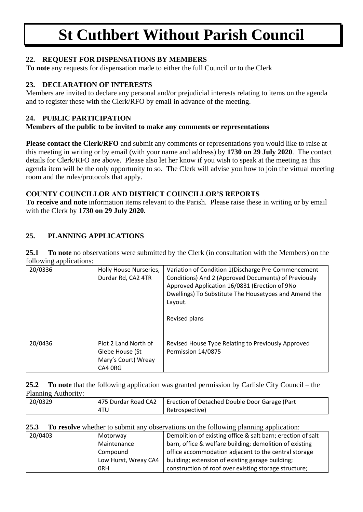# **St Cuthbert Without Parish Council**

#### **22. REQUEST FOR DISPENSATIONS BY MEMBERS**

**To note** any requests for dispensation made to either the full Council or to the Clerk

#### **23. DECLARATION OF INTERESTS**

Members are invited to declare any personal and/or prejudicial interests relating to items on the agenda and to register these with the Clerk/RFO by email in advance of the meeting.

#### **24. PUBLIC PARTICIPATION**

#### **Members of the public to be invited to make any comments or representations**

**Please contact the Clerk/RFO** and submit any comments or representations you would like to raise at this meeting in writing or by email (with your name and address) by **1730 on 29 July 2020**. The contact details for Clerk/RFO are above. Please also let her know if you wish to speak at the meeting as this agenda item will be the only opportunity to so. The Clerk will advise you how to join the virtual meeting room and the rules/protocols that apply.

#### **COUNTY COUNCILLOR AND DISTRICT COUNCILLOR'S REPORTS**

**To receive and note** information items relevant to the Parish. Please raise these in writing or by email with the Clerk by **1730 on 29 July 2020.** 

### **25. PLANNING APPLICATIONS**

**25.1 To note** no observations were submitted by the Clerk (in consultation with the Members) on the following applications:

| 20/0336 | Holly House Nurseries,<br>Durdar Rd, CA2 4TR                              | Variation of Condition 1 (Discharge Pre-Commencement<br>Conditions) And 2 (Approved Documents) of Previously<br>Approved Application 16/0831 (Erection of 9No<br>Dwellings) To Substitute The Housetypes and Amend the<br>Layout.<br>Revised plans |
|---------|---------------------------------------------------------------------------|----------------------------------------------------------------------------------------------------------------------------------------------------------------------------------------------------------------------------------------------------|
| 20/0436 | Plot 2 Land North of<br>Glebe House (St<br>Mary's Court) Wreay<br>CA4 ORG | Revised House Type Relating to Previously Approved<br>Permission 14/0875                                                                                                                                                                           |

**25.2 To note** that the following application was granted permission by Carlisle City Council – the Planning Authority:

| 20/0329 | 475 Durdar Road CA2 | Erection of Detached Double Door Garage (Part |  |
|---------|---------------------|-----------------------------------------------|--|
|         | 4TU                 | Retrospective)                                |  |

**25.3 To resolve** whether to submit any observations on the following planning application:

| 20/0403 | Motorway             | Demolition of existing office & salt barn; erection of salt |  |
|---------|----------------------|-------------------------------------------------------------|--|
|         | Maintenance          | barn, office & welfare building; demolition of existing     |  |
|         | Compound             | office accommodation adjacent to the central storage        |  |
|         | Low Hurst, Wreay CA4 | building; extension of existing garage building;            |  |
|         | 0RH                  | construction of roof over existing storage structure;       |  |